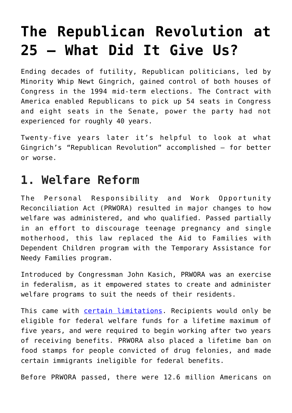# **[The Republican Revolution at](https://intellectualtakeout.org/2019/11/the-republican-revolution-at-25-what-did-it-give-us/) [25 – What Did It Give Us?](https://intellectualtakeout.org/2019/11/the-republican-revolution-at-25-what-did-it-give-us/)**

Ending decades of futility, Republican politicians, led by Minority Whip Newt Gingrich, gained control of both houses of Congress in the 1994 mid-term elections. The Contract with America enabled Republicans to pick up 54 seats in Congress and eight seats in the Senate, power the party had not experienced for roughly 40 years.

Twenty-five years later it's helpful to look at what Gingrich's "Republican Revolution" accomplished – for better or worse.

#### **1. Welfare Reform**

The Personal Responsibility and Work Opportunity Reconciliation Act (PRWORA) resulted in major changes to how welfare was administered, and who qualified. Passed partially in an effort to discourage teenage pregnancy and single motherhood, this law replaced the Aid to Families with Dependent Children program with the Temporary Assistance for Needy Families program.

Introduced by Congressman John Kasich, PRWORA was an exercise in federalism, as it empowered states to create and administer welfare programs to suit the needs of their residents.

This came with [certain limitations](https://aspe.hhs.gov/report/personal-responsibility-and-work-opportunity-reconciliation-act-1996). Recipients would only be eligible for federal welfare funds for a lifetime maximum of five years, and were required to begin working after two years of receiving benefits. PRWORA also placed a lifetime ban on food stamps for people convicted of drug felonies, and made certain immigrants ineligible for federal benefits.

Before PRWORA passed, there were 12.6 million Americans on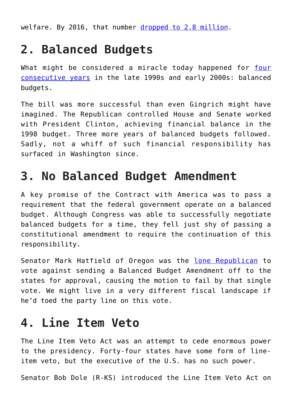welfare. By 2016, that number [dropped to 2.8 million](https://www.forbes.com/sites/realspin/2016/08/22/twenty-years-later-welfare-reform-remains-wildly-successful-and-oddly-controversial/#c6e362273908).

## **2. Balanced Budgets**

What might be considered a miracle today happened for [four](https://www.concordcoalition.org/blog-post/looking-back-20-years-1997-balanced-budget-agreement) [consecutive years](https://www.concordcoalition.org/blog-post/looking-back-20-years-1997-balanced-budget-agreement) in the late 1990s and early 2000s: balanced budgets.

The bill was more successful than even Gingrich might have imagined. The Republican controlled House and Senate worked with President Clinton, achieving financial balance in the 1998 budget. Three more years of balanced budgets followed. Sadly, not a whiff of such financial responsibility has surfaced in Washington since.

### **3. No Balanced Budget Amendment**

A key promise of the Contract with America was to pass a requirement that the federal government operate on a balanced budget. Although Congress was able to successfully negotiate balanced budgets for a time, they fell just shy of passing a constitutional amendment to require the continuation of this responsibility.

Senator Mark Hatfield of Oregon was the [lone Republican](https://www.rollcall.com/news/hatfield_remembered_for_vote_against_amendment-208068-1.html) to vote against sending a Balanced Budget Amendment off to the states for approval, causing the motion to fail by that single vote. We might live in a very different fiscal landscape if he'd toed the party line on this vote.

#### **4. Line Item Veto**

The Line Item Veto Act was an attempt to cede enormous power to the presidency. Forty-four states have some form of lineitem veto, but the executive of the U.S. has no such power.

Senator Bob Dole (R-KS) introduced the Line Item Veto Act on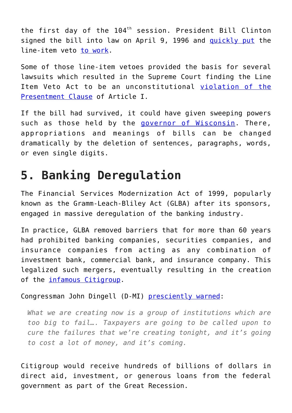the first day of the  $104<sup>th</sup>$  session. President Bill Clinton signed the bill into law on April 9, 1996 and [quickly put](https://www.latimes.com/archives/la-xpm-1997-aug-12-mn-21791-story.html) the line-item veto [to work](https://www.cnn.com/ALLPOLITICS/1997/10/06/line.item/).

Some of those line-item vetoes provided the basis for several lawsuits which resulted in the Supreme Court finding the Line Item Veto Act to be an unconstitutional [violation of the](https://supreme.justia.com/cases/federal/us/524/417/) [Presentment Clause](https://supreme.justia.com/cases/federal/us/524/417/) of Article I.

If the bill had survived, it could have given sweeping powers such as those held by the [governor of Wisconsin.](https://docs.legis.wisconsin.gov/misc/lrb/reading_the_constitution/reading_the_constitution_4_1.pdf) There, appropriations and meanings of bills can be changed dramatically by the deletion of sentences, paragraphs, words, or even single digits.

## **5. Banking Deregulation**

The Financial Services Modernization Act of 1999, popularly known as the Gramm-Leach-Bliley Act (GLBA) after its sponsors, engaged in massive deregulation of the banking industry.

In practice, GLBA removed barriers that for more than 60 years had prohibited banking companies, securities companies, and insurance companies from acting as any combination of investment bank, commercial bank, and insurance company. This legalized such mergers, eventually resulting in the creation of the *infamous* Citigroup.

Congressman John Dingell (D-MI) [presciently warned:](https://www.c-span.org/video/?c41620/user-clip-clip-house-session)

*What we are creating now is a group of institutions which are too big to fail…. Taxpayers are going to be called upon to cure the failures that we're creating tonight, and it's going to cost a lot of money, and it's coming.*

Citigroup would receive hundreds of billions of dollars in direct aid, investment, or generous loans from the federal government as part of the Great Recession.